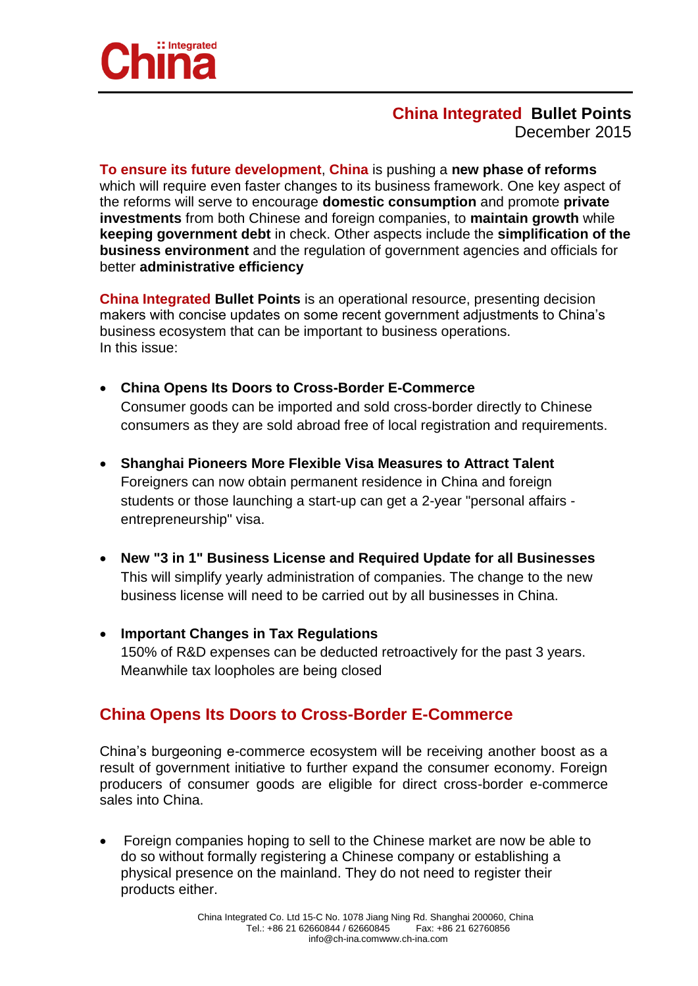

### **China Integrated Bullet Points** December 2015

**To ensure its future development**, **China** is pushing a **new phase of reforms** which will require even faster changes to its business framework. One key aspect of the reforms will serve to encourage **domestic consumption** and promote **private investments** from both Chinese and foreign companies, to **maintain growth** while **keeping government debt** in check. Other aspects include the **simplification of the business environment** and the regulation of government agencies and officials for better **administrative efficiency**

**China Integrated Bullet Points** is an operational resource, presenting decision makers with concise updates on some recent government adjustments to China's business ecosystem that can be important to business operations. In this issue:

- **China Opens Its Doors to Cross-Border E-Commerce** Consumer goods can be imported and sold cross-border directly to Chinese consumers as they are sold abroad free of local registration and requirements.
- **Shanghai Pioneers More Flexible Visa Measures to Attract Talent** Foreigners can now obtain permanent residence in China and foreign students or those launching a start-up can get a 2-year "personal affairs entrepreneurship" visa.
- **New "3 in 1" Business License and Required Update for all Businesses** This will simplify yearly administration of companies. The change to the new business license will need to be carried out by all businesses in China.
- **Important Changes in Tax Regulations** 150% of R&D expenses can be deducted retroactively for the past 3 years. Meanwhile tax loopholes are being closed

# **China Opens Its Doors to Cross-Border E-Commerce**

China's burgeoning e-commerce ecosystem will be receiving another boost as a result of government initiative to further expand the consumer economy. Foreign producers of consumer goods are eligible for direct cross-border e-commerce sales into China.

 Foreign companies hoping to sell to the Chinese market are now be able to do so without formally registering a Chinese company or establishing a physical presence on the mainland. They do not need to register their products either.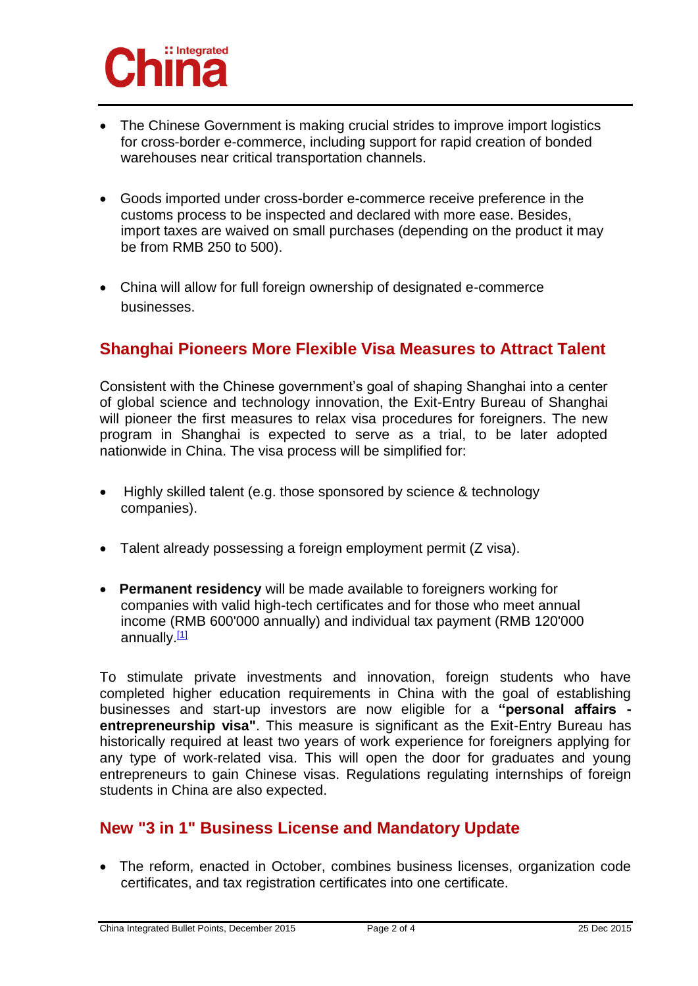

- The Chinese Government is making crucial strides to improve import logistics for cross-border e-commerce, including support for rapid creation of bonded warehouses near critical transportation channels.
- Goods imported under cross-border e-commerce receive preference in the customs process to be inspected and declared with more ease. Besides, import taxes are waived on small purchases (depending on the product it may be from RMB 250 to 500).
- China will allow for full foreign ownership of designated e-commerce businesses.

## **Shanghai Pioneers More Flexible Visa Measures to Attract Talent**

Consistent with the Chinese government's goal of shaping Shanghai into a center of global science and technology innovation, the Exit-Entry Bureau of Shanghai will pioneer the first measures to relax visa procedures for foreigners. The new program in Shanghai is expected to serve as a trial, to be later adopted nationwide in China. The visa process will be simplified for:

- Highly skilled talent (e.g. those sponsored by science & technology companies).
- Talent already possessing a foreign employment permit (Z visa).
- **Permanent residency** will be made available to foreigners working for companies with valid high-tech certificates and for those who meet annual income (RMB 600'000 annually) and individual tax payment (RMB 120'000 annually. $[1]$

To stimulate private investments and innovation, foreign students who have completed higher education requirements in China with the goal of establishing businesses and start-up investors are now eligible for a **"personal affairs entrepreneurship visa"**. This measure is significant as the Exit-Entry Bureau has historically required at least two years of work experience for foreigners applying for any type of work-related visa. This will open the door for graduates and young entrepreneurs to gain Chinese visas. Regulations regulating internships of foreign students in China are also expected.

# **New "3 in 1" Business License and Mandatory Update**

 The reform, enacted in October, combines business licenses, organization code certificates, and tax registration certificates into one certificate.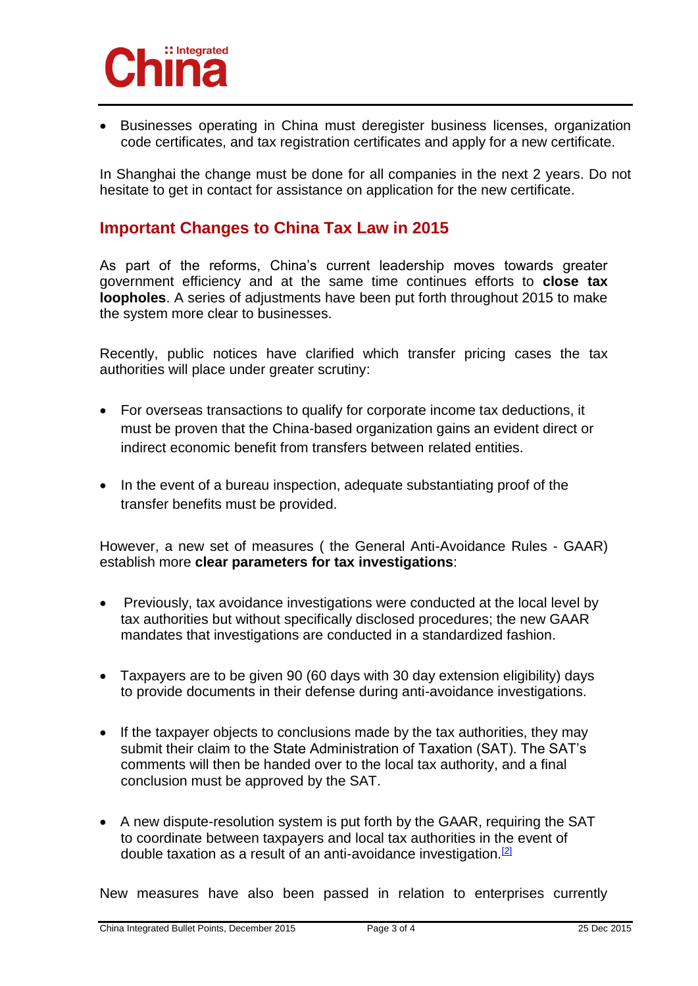

 Businesses operating in China must deregister business licenses, organization code certificates, and tax registration certificates and apply for a new certificate.

In Shanghai the change must be done for all companies in the next 2 years. Do not hesitate to get in contact for assistance on application for the new certificate.

### **Important Changes to China Tax Law in 2015**

As part of the reforms, China's current leadership moves towards greater government efficiency and at the same time continues efforts to **close tax loopholes**. A series of adjustments have been put forth throughout 2015 to make the system more clear to businesses.

Recently, public notices have clarified which transfer pricing cases the tax authorities will place under greater scrutiny:

- For overseas transactions to qualify for corporate income tax deductions, it must be proven that the China-based organization gains an evident direct or indirect economic benefit from transfers between related entities.
- In the event of a bureau inspection, adequate substantiating proof of the transfer benefits must be provided.

However, a new set of measures ( the General Anti-Avoidance Rules - GAAR) establish more **clear parameters for tax investigations**:

- Previously, tax avoidance investigations were conducted at the local level by tax authorities but without specifically disclosed procedures; the new GAAR mandates that investigations are conducted in a standardized fashion.
- Taxpayers are to be given 90 (60 days with 30 day extension eligibility) days to provide documents in their defense during anti-avoidance investigations.
- If the taxpayer objects to conclusions made by the tax authorities, they may submit their claim to the State Administration of Taxation (SAT). The SAT's comments will then be handed over to the local tax authority, and a final conclusion must be approved by the SAT.
- A new dispute-resolution system is put forth by the GAAR, requiring the SAT to coordinate between taxpayers and local tax authorities in the event of double taxation as a result of an anti-avoidance investigation.[2]

New measures have also been passed in relation to enterprises currently